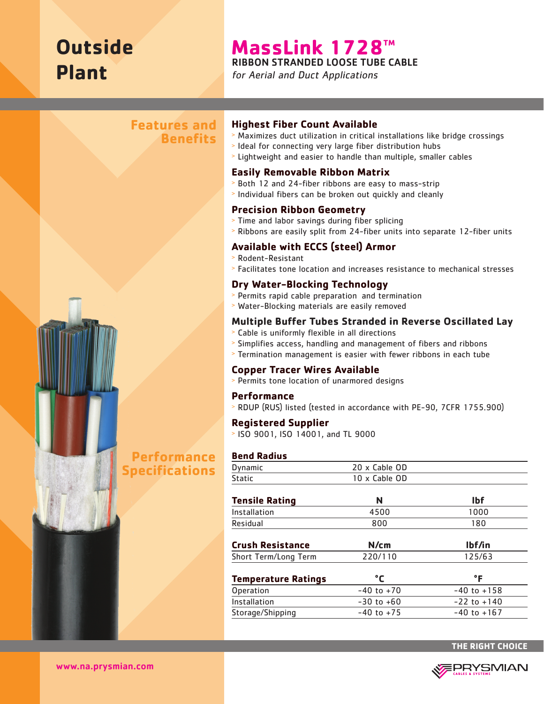# **Outside Plant**

# **MassLink 1728TM**

RIBBON STRANDED LOOSE TUBE CABLE

for Aerial and Duct Applications



# **Highest Fiber Count Available**

- <sup>&</sup>gt; Maximizes duct utilization in critical installations like bridge crossings
- <sup>&</sup>gt; Ideal for connecting very large fiber distribution hubs
- <sup>&</sup>gt; Lightweight and easier to handle than multiple, smaller cables

#### **Easily Removable Ribbon Matrix**

- <sup>&</sup>gt; Both 12 and 24-fiber ribbons are easy to mass-strip
- <sup>&</sup>gt; Individual fibers can be broken out quickly and cleanly

# **Precision Ribbon Geometry**

- <sup>&</sup>gt; Time and labor savings during fiber splicing
- <sup>&</sup>gt; Ribbons are easily split from 24-fiber units into separate 12-fiber units

# **Available with ECCS (steel) Armor**

> Rodent-Resistant

**Benefits** 

<sup>&</sup>gt; Facilitates tone location and increases resistance to mechanical stresses

# **Dry Water-Blocking Technology**

- <sup>&</sup>gt; Permits rapid cable preparation and termination
- <sup>&</sup>gt; Water-Blocking materials are easily removed

# **Multiple Buffer Tubes Stranded in Reverse Oscillated Lay**

- <sup>&</sup>gt; Cable is uniformly flexible in all directions
- <sup>&</sup>gt; Simplifies access, handling and management of fibers and ribbons
- <sup>&</sup>gt; Termination management is easier with fewer ribbons in each tube

#### **Copper Tracer Wires Available**

<sup>&</sup>gt; Permits tone location of unarmored designs

#### **Performance**

<sup>&</sup>gt; RDUP (RUS) listed (tested in accordance with PE-90, 7CFR 1755.900)

#### **Registered Supplier**

<sup>&</sup>gt; ISO 9001, ISO 14001, and TL 9000

#### **Bend Radius**

| Dynamic                    | 20 x Cable OD  |                 |
|----------------------------|----------------|-----------------|
| <b>Static</b>              | 10 x Cable OD  |                 |
|                            |                |                 |
| <b>Tensile Rating</b>      | N              | <b>Ibf</b>      |
| Installation               | 4500           | 1000            |
| Residual                   | 800            | 180             |
|                            |                |                 |
| <b>Crush Resistance</b>    | N/cm           | lbf/in          |
| Short Term/Long Term       | 220/110        | 125/63          |
|                            |                |                 |
| <b>Temperature Ratings</b> | °C             | °F              |
| Operation                  | $-40$ to $+70$ | $-40$ to $+158$ |
| Installation               | $-30$ to $+60$ | $-22$ to $+140$ |
| Storage/Shipping           | $-40$ to $+75$ | $-40$ to $+167$ |
|                            |                |                 |